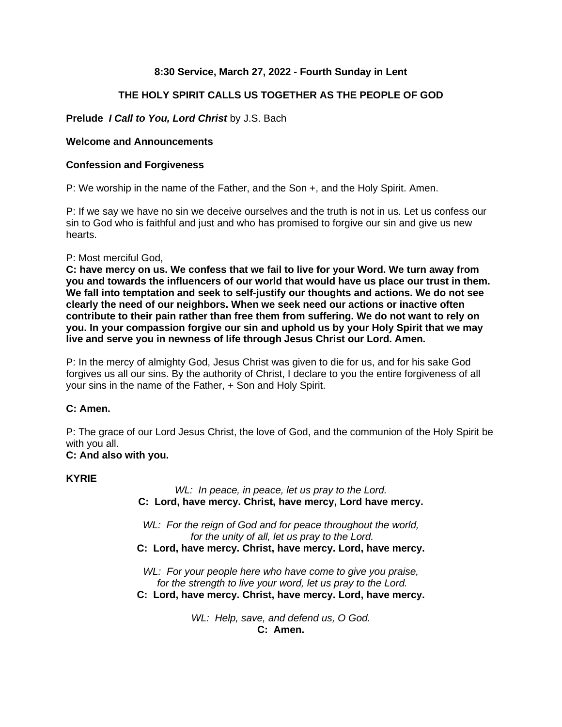# **8:30 Service, March 27, 2022 - Fourth Sunday in Lent**

# **THE HOLY SPIRIT CALLS US TOGETHER AS THE PEOPLE OF GOD**

# **Prelude** *I Call to You, Lord Christ* by J.S. Bach

## **Welcome and Announcements**

### **Confession and Forgiveness**

P: We worship in the name of the Father, and the Son +, and the Holy Spirit. Amen.

P: If we say we have no sin we deceive ourselves and the truth is not in us. Let us confess our sin to God who is faithful and just and who has promised to forgive our sin and give us new hearts.

### P: Most merciful God,

**C: have mercy on us. We confess that we fail to live for your Word. We turn away from you and towards the influencers of our world that would have us place our trust in them. We fall into temptation and seek to self-justify our thoughts and actions. We do not see clearly the need of our neighbors. When we seek need our actions or inactive often contribute to their pain rather than free them from suffering. We do not want to rely on you. In your compassion forgive our sin and uphold us by your Holy Spirit that we may live and serve you in newness of life through Jesus Christ our Lord. Amen.**

P: In the mercy of almighty God, Jesus Christ was given to die for us, and for his sake God forgives us all our sins. By the authority of Christ, I declare to you the entire forgiveness of all your sins in the name of the Father, + Son and Holy Spirit.

# **C: Amen.**

P: The grace of our Lord Jesus Christ, the love of God, and the communion of the Holy Spirit be with you all.

# **C: And also with you.**

### **KYRIE**

*WL: In peace, in peace, let us pray to the Lord.* **C: Lord, have mercy. Christ, have mercy, Lord have mercy.**

*WL: For the reign of God and for peace throughout the world, for the unity of all, let us pray to the Lord.* **C: Lord, have mercy. Christ, have mercy. Lord, have mercy.**

*WL: For your people here who have come to give you praise, for the strength to live your word, let us pray to the Lord.* **C: Lord, have mercy. Christ, have mercy. Lord, have mercy.**

> *WL: Help, save, and defend us, O God.* **C: Amen.**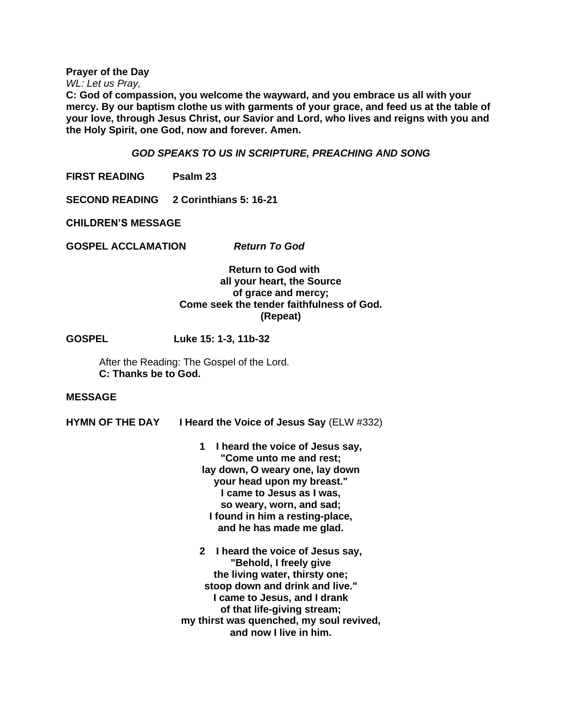**Prayer of the Day**

*WL: Let us Pray,*

**C: God of compassion, you welcome the wayward, and you embrace us all with your mercy. By our baptism clothe us with garments of your grace, and feed us at the table of your love, through Jesus Christ, our Savior and Lord, who lives and reigns with you and the Holy Spirit, one God, now and forever. Amen.**

#### *GOD SPEAKS TO US IN SCRIPTURE, PREACHING AND SONG*

**FIRST READING Psalm 23**

**SECOND READING 2 Corinthians 5: 16-21**

**CHILDREN'S MESSAGE**

**GOSPEL ACCLAMATION** *Return To God*

 **Return to God with all your heart, the Source of grace and mercy; Come seek the tender faithfulness of God. (Repeat)**

**GOSPEL Luke 15: 1-3, 11b-32**

After the Reading: The Gospel of the Lord. **C: Thanks be to God.**

#### **MESSAGE**

**HYMN OF THE DAY I Heard the Voice of Jesus Say** (ELW #332)

**1 I heard the voice of Jesus say, "Come unto me and rest; lay down, O weary one, lay down your head upon my breast." I came to Jesus as I was, so weary, worn, and sad; I found in him a resting-place, and he has made me glad.**

**2 I heard the voice of Jesus say, "Behold, I freely give the living water, thirsty one; stoop down and drink and live." I came to Jesus, and I drank of that life-giving stream; my thirst was quenched, my soul revived, and now I live in him.**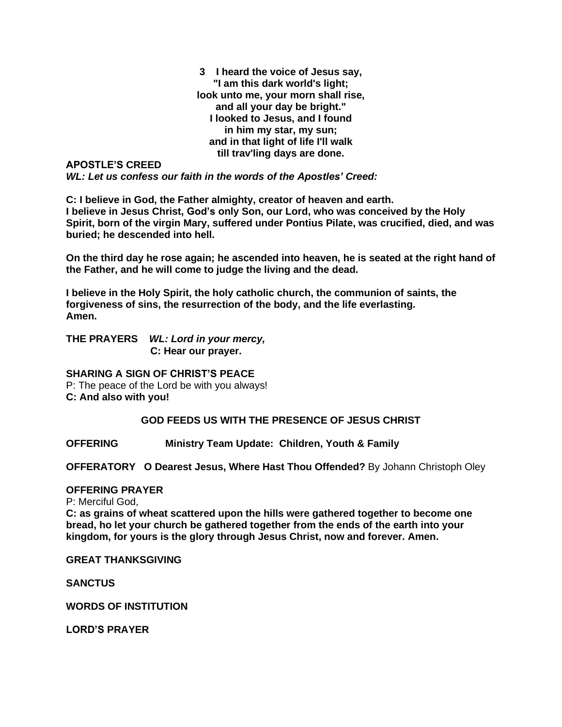**3 I heard the voice of Jesus say, "I am this dark world's light; look unto me, your morn shall rise, and all your day be bright." I looked to Jesus, and I found in him my star, my sun; and in that light of life I'll walk till trav'ling days are done.**

**APOSTLE'S CREED** *WL: Let us confess our faith in the words of the Apostles' Creed:*

**C: I believe in God, the Father almighty, creator of heaven and earth. I believe in Jesus Christ, God's only Son, our Lord, who was conceived by the Holy Spirit, born of the virgin Mary, suffered under Pontius Pilate, was crucified, died, and was buried; he descended into hell.**

**On the third day he rose again; he ascended into heaven, he is seated at the right hand of the Father, and he will come to judge the living and the dead.**

**I believe in the Holy Spirit, the holy catholic church, the communion of saints, the forgiveness of sins, the resurrection of the body, and the life everlasting. Amen.**

**THE PRAYERS** *WL: Lord in your mercy,*  **C: Hear our prayer.** 

# **SHARING A SIGN OF CHRIST'S PEACE**

P: The peace of the Lord be with you always! **C: And also with you!**

### **GOD FEEDS US WITH THE PRESENCE OF JESUS CHRIST**

**OFFERING Ministry Team Update: Children, Youth & Family**

**OFFERATORY O Dearest Jesus, Where Hast Thou Offended?** By Johann Christoph Oley

## **OFFERING PRAYER**

P: Merciful God,

**C: as grains of wheat scattered upon the hills were gathered together to become one bread, ho let your church be gathered together from the ends of the earth into your kingdom, for yours is the glory through Jesus Christ, now and forever. Amen.**

**GREAT THANKSGIVING**

**SANCTUS**

**WORDS OF INSTITUTION**

**LORD'S PRAYER**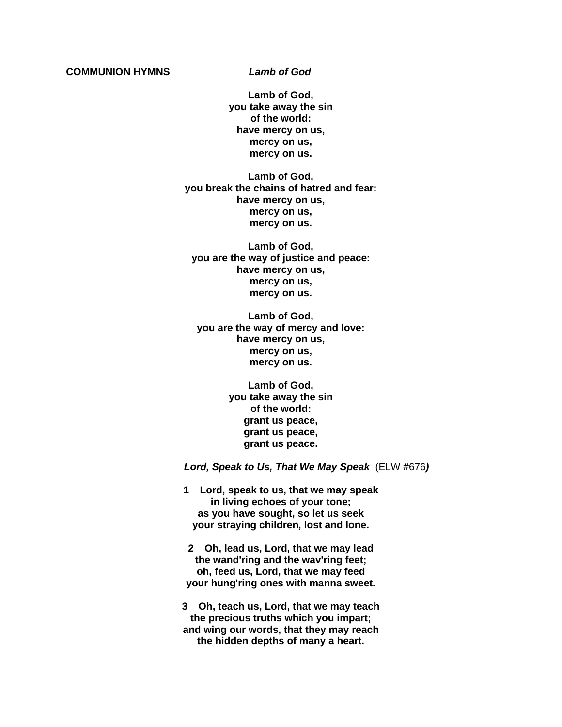#### **COMMUNION HYMNS** *Lamb of God*

**Lamb of God, you take away the sin of the world: have mercy on us, mercy on us, mercy on us.**

**Lamb of God, you break the chains of hatred and fear: have mercy on us, mercy on us, mercy on us.**

**Lamb of God, you are the way of justice and peace: have mercy on us, mercy on us, mercy on us.**

**Lamb of God, you are the way of mercy and love: have mercy on us, mercy on us, mercy on us.**

> **Lamb of God, you take away the sin of the world: grant us peace, grant us peace, grant us peace.**

*Lord, Speak to Us, That We May Speak* (ELW #676*)*

**1 Lord, speak to us, that we may speak in living echoes of your tone; as you have sought, so let us seek your straying children, lost and lone.**

**2 Oh, lead us, Lord, that we may lead the wand'ring and the wav'ring feet; oh, feed us, Lord, that we may feed your hung'ring ones with manna sweet.**

**3 Oh, teach us, Lord, that we may teach the precious truths which you impart; and wing our words, that they may reach the hidden depths of many a heart.**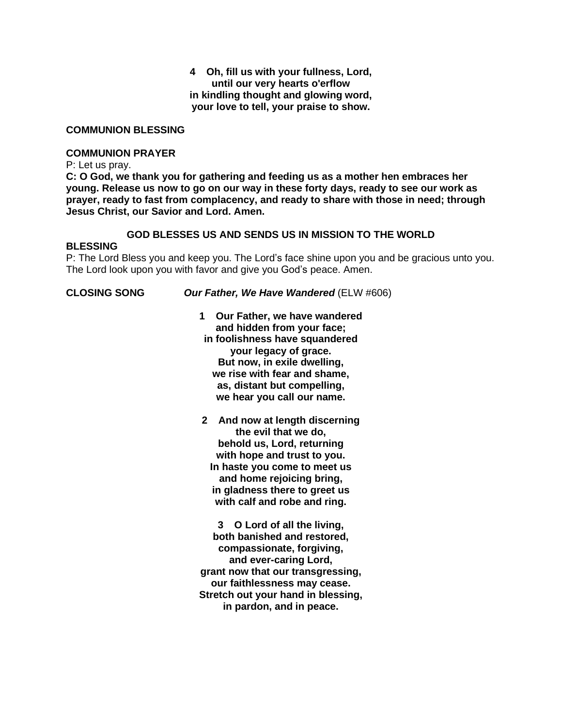#### **4 Oh, fill us with your fullness, Lord, until our very hearts o'erflow in kindling thought and glowing word, your love to tell, your praise to show.**

### **COMMUNION BLESSING**

#### **COMMUNION PRAYER**

P: Let us pray.

**C: O God, we thank you for gathering and feeding us as a mother hen embraces her young. Release us now to go on our way in these forty days, ready to see our work as prayer, ready to fast from complacency, and ready to share with those in need; through Jesus Christ, our Savior and Lord. Amen.**

#### **GOD BLESSES US AND SENDS US IN MISSION TO THE WORLD**

#### **BLESSING**

P: The Lord Bless you and keep you. The Lord's face shine upon you and be gracious unto you. The Lord look upon you with favor and give you God's peace. Amen.

**CLOSING SONG** *Our Father, We Have Wandered* (ELW #606)

**1 Our Father, we have wandered and hidden from your face; in foolishness have squandered your legacy of grace. But now, in exile dwelling, we rise with fear and shame, as, distant but compelling, we hear you call our name.**

**2 And now at length discerning the evil that we do, behold us, Lord, returning with hope and trust to you. In haste you come to meet us and home rejoicing bring, in gladness there to greet us with calf and robe and ring.**

**3 O Lord of all the living, both banished and restored, compassionate, forgiving, and ever-caring Lord, grant now that our transgressing, our faithlessness may cease. Stretch out your hand in blessing, in pardon, and in peace.**